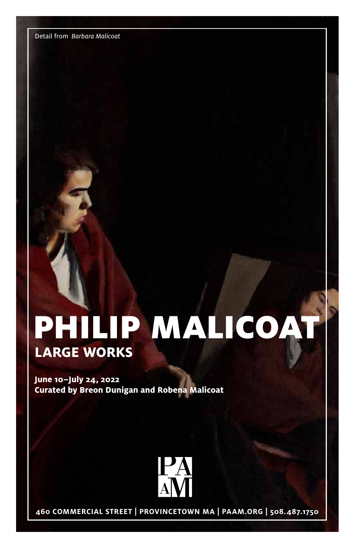Detail from Barbara Malicoat

# **LARGE WORKS** PHILIP MALICOAT

**June 10–July 24, 2022 Curated by Breon Dunigan and Robena Malicoat**



**460 COMMERCIAL STREET | PROVINCETOWN MA | PAAM.ORG | 508.487.1750**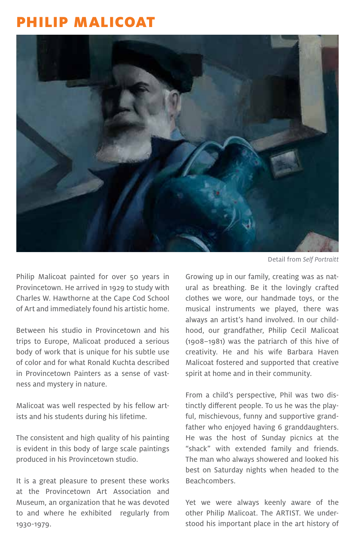## PHILIP MALICOAT



Philip Malicoat painted for over 50 years in Provincetown. He arrived in 1929 to study with Charles W. Hawthorne at the Cape Cod School of Art and immediately found his artistic home.

Between his studio in Provincetown and his trips to Europe, Malicoat produced a serious body of work that is unique for his subtle use of color and for what Ronald Kuchta described in Provincetown Painters as a sense of vastness and mystery in nature.

Malicoat was well respected by his fellow artists and his students during his lifetime.

The consistent and high quality of his painting is evident in this body of large scale paintings produced in his Provincetown studio.

It is a great pleasure to present these works at the Provincetown Art Association and Museum, an organization that he was devoted to and where he exhibited regularly from 1930-1979.

Detail from Self Portraitt

Growing up in our family, creating was as natural as breathing. Be it the lovingly crafted clothes we wore, our handmade toys, or the musical instruments we played, there was always an artist's hand involved. In our childhood, our grandfather, Philip Cecil Malicoat (1908–1981) was the patriarch of this hive of creativity. He and his wife Barbara Haven Malicoat fostered and supported that creative spirit at home and in their community.

From a child's perspective, Phil was two distinctly different people. To us he was the playful, mischievous, funny and supportive grandfather who enjoyed having 6 granddaughters. He was the host of Sunday picnics at the "shack" with extended family and friends. The man who always showered and looked his best on Saturday nights when headed to the Beachcombers.

Yet we were always keenly aware of the other Philip Malicoat. The ARTIST. We understood his important place in the art history of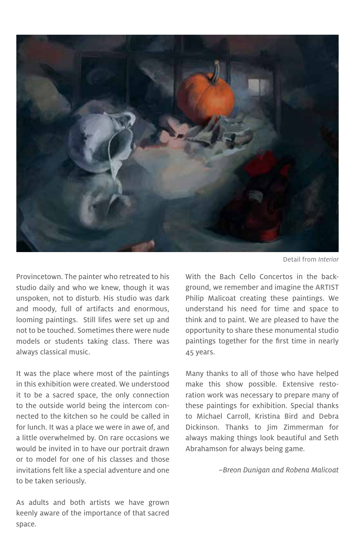

Provincetown. The painter who retreated to his studio daily and who we knew, though it was unspoken, not to disturb. His studio was dark and moody, full of artifacts and enormous, looming paintings. Still lifes were set up and not to be touched. Sometimes there were nude models or students taking class. There was always classical music.

It was the place where most of the paintings in this exhibition were created. We understood it to be a sacred space, the only connection to the outside world being the intercom connected to the kitchen so he could be called in for lunch. It was a place we were in awe of, and a little overwhelmed by. On rare occasions we would be invited in to have our portrait drawn or to model for one of his classes and those invitations felt like a special adventure and one to be taken seriously.

Detail from Interior

With the Bach Cello Concertos in the background, we remember and imagine the ARTIST Philip Malicoat creating these paintings. We understand his need for time and space to think and to paint. We are pleased to have the opportunity to share these monumental studio paintings together for the first time in nearly 45 years.

Many thanks to all of those who have helped make this show possible. Extensive restoration work was necessary to prepare many of these paintings for exhibition. Special thanks to Michael Carroll, Kristina Bird and Debra Dickinson. Thanks to Jim Zimmerman for always making things look beautiful and Seth Abrahamson for always being game.

–Breon Dunigan and Robena Malicoat

As adults and both artists we have grown keenly aware of the importance of that sacred space.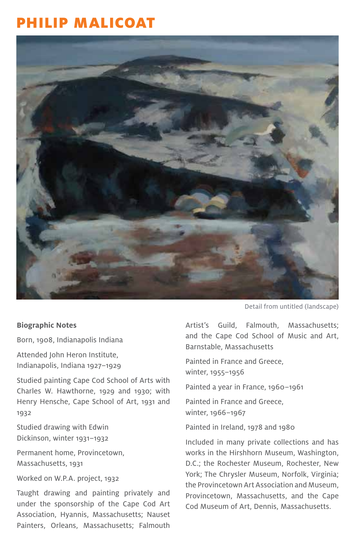## PHILIP MALICOAT



#### **Biographic Notes**

Born, 1908, Indianapolis Indiana

Attended John Heron Institute, Indianapolis, Indiana 1927–1929

Studied painting Cape Cod School of Arts with Charles W. Hawthorne, 1929 and 1930; with Henry Hensche, Cape School of Art, 1931 and 1932

Studied drawing with Edwin Dickinson, winter 1931–1932

Permanent home, Provincetown, Massachusetts, 1931

Worked on W.P.A. project, 1932

Taught drawing and painting privately and under the sponsorship of the Cape Cod Art Association, Hyannis, Massachusetts; Nauset Painters, Orleans, Massachusetts; Falmouth

Detail from untitled (landscape)

Artist's Guild, Falmouth, Massachusetts; and the Cape Cod School of Music and Art, Barnstable, Massachusetts

Painted in France and Greece, winter, 1955–1956

Painted a year in France, 1960–1961

Painted in France and Greece, winter, 1966–1967

Painted in Ireland, 1978 and 1980

Included in many private collections and has works in the Hirshhorn Museum, Washington, D.C.; the Rochester Museum, Rochester, New York; The Chrysler Museum, Norfolk, Virginia; the Provincetown Art Association and Museum, Provincetown, Massachusetts, and the Cape Cod Museum of Art, Dennis, Massachusetts.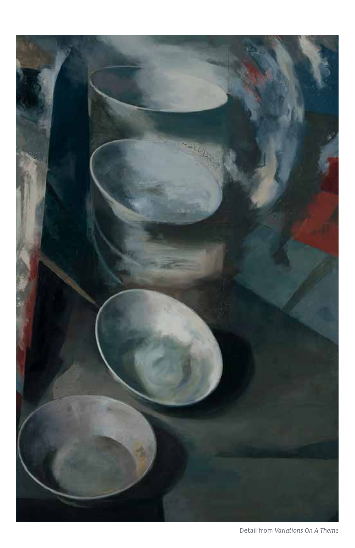

Detail from Variations On A Theme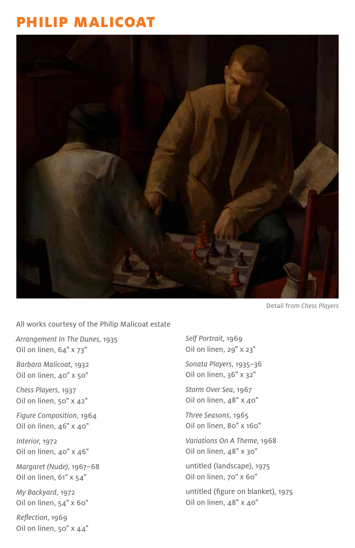## PHILIP MALICOAT



Detail from Chess Players

All works courtesy of the Philip Malicoat estate

Arrangement In The Dunes, 1935 Oil on linen, 64" x 73"

Barbara Malicoat, 1932 Oil on linen, 40" x 50"

Chess Players, 1937 Oil on linen, 50" x 42"

Figure Composition, 1964 Oil on linen, 46" x 40"

Interior, 1972 Oil on linen, 40" x 46"

Margaret (Nude), 1967–68 Oil on linen, 61" x 54"

My Backyard, 1972 Oil on linen, 54" x 60"

Reflection, 1969 Oil on linen, 50" x 44" Self Portrait, 1969 Oil on linen, 29" x 23"

Sonata Players, 1935–36 Oil on linen, 36" x 32"

Storm Over Sea, 1967 Oil on linen, 48" x 40"

Three Seasons, 1965 Oil on linen, 80" x 160"

Variations On A Theme, 1968 Oil on linen, 48" x 30"

untitled (landscape), 1975 Oil on linen, 70" x 60"

untitled (figure on blanket), 1975 Oil on linen, 48" x 40"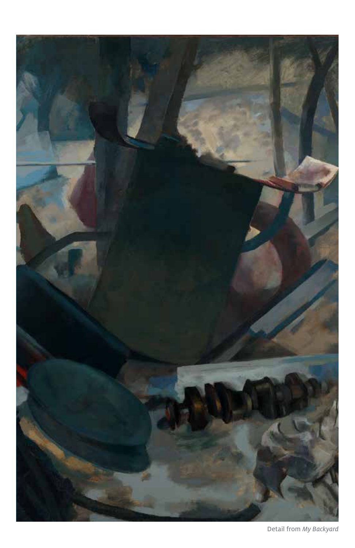

Detail from My Backyard